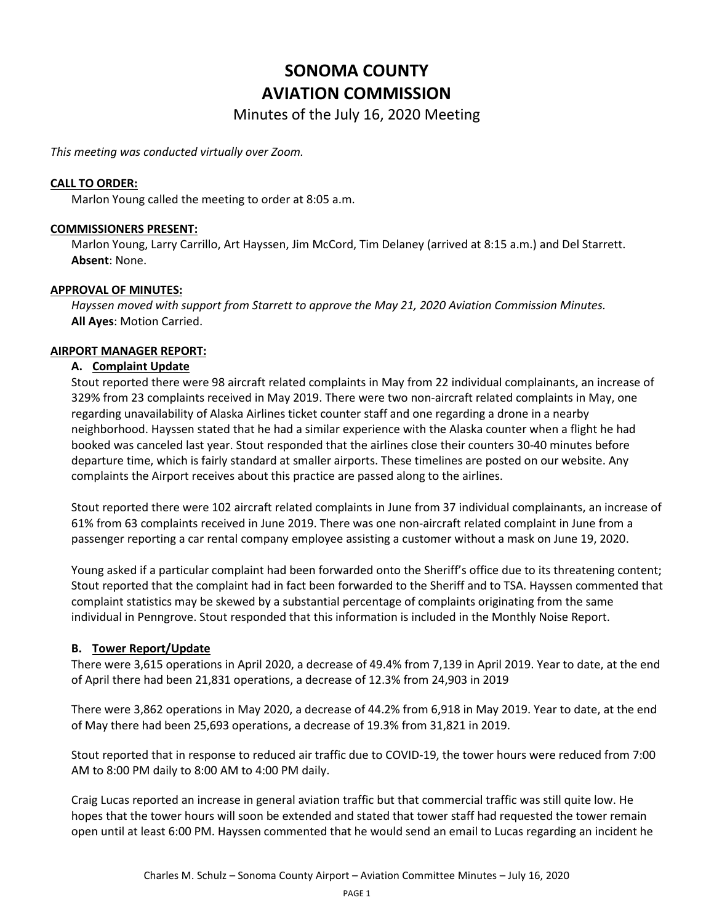# **SONOMA COUNTY AVIATION COMMISSION**

Minutes of the July 16, 2020 Meeting

*This meeting was conducted virtually over Zoom.*

## **CALL TO ORDER:**

Marlon Young called the meeting to order at 8:05 a.m.

### **COMMISSIONERS PRESENT:**

Marlon Young, Larry Carrillo, Art Hayssen, Jim McCord, Tim Delaney (arrived at 8:15 a.m.) and Del Starrett. **Absent**: None.

### **APPROVAL OF MINUTES:**

*Hayssen moved with support from Starrett to approve the May 21, 2020 Aviation Commission Minutes.*  **All Ayes**: Motion Carried.

### **AIRPORT MANAGER REPORT:**

### **A. Complaint Update**

Stout reported there were 98 aircraft related complaints in May from 22 individual complainants, an increase of 329% from 23 complaints received in May 2019. There were two non-aircraft related complaints in May, one regarding unavailability of Alaska Airlines ticket counter staff and one regarding a drone in a nearby neighborhood. Hayssen stated that he had a similar experience with the Alaska counter when a flight he had booked was canceled last year. Stout responded that the airlines close their counters 30-40 minutes before departure time, which is fairly standard at smaller airports. These timelines are posted on our website. Any complaints the Airport receives about this practice are passed along to the airlines.

Stout reported there were 102 aircraft related complaints in June from 37 individual complainants, an increase of 61% from 63 complaints received in June 2019. There was one non-aircraft related complaint in June from a passenger reporting a car rental company employee assisting a customer without a mask on June 19, 2020.

Young asked if a particular complaint had been forwarded onto the Sheriff's office due to its threatening content; Stout reported that the complaint had in fact been forwarded to the Sheriff and to TSA. Hayssen commented that complaint statistics may be skewed by a substantial percentage of complaints originating from the same individual in Penngrove. Stout responded that this information is included in the Monthly Noise Report.

# **B. Tower Report/Update**

There were 3,615 operations in April 2020, a decrease of 49.4% from 7,139 in April 2019. Year to date, at the end of April there had been 21,831 operations, a decrease of 12.3% from 24,903 in 2019

There were 3,862 operations in May 2020, a decrease of 44.2% from 6,918 in May 2019. Year to date, at the end of May there had been 25,693 operations, a decrease of 19.3% from 31,821 in 2019.

Stout reported that in response to reduced air traffic due to COVID-19, the tower hours were reduced from 7:00 AM to 8:00 PM daily to 8:00 AM to 4:00 PM daily.

Craig Lucas reported an increase in general aviation traffic but that commercial traffic was still quite low. He hopes that the tower hours will soon be extended and stated that tower staff had requested the tower remain open until at least 6:00 PM. Hayssen commented that he would send an email to Lucas regarding an incident he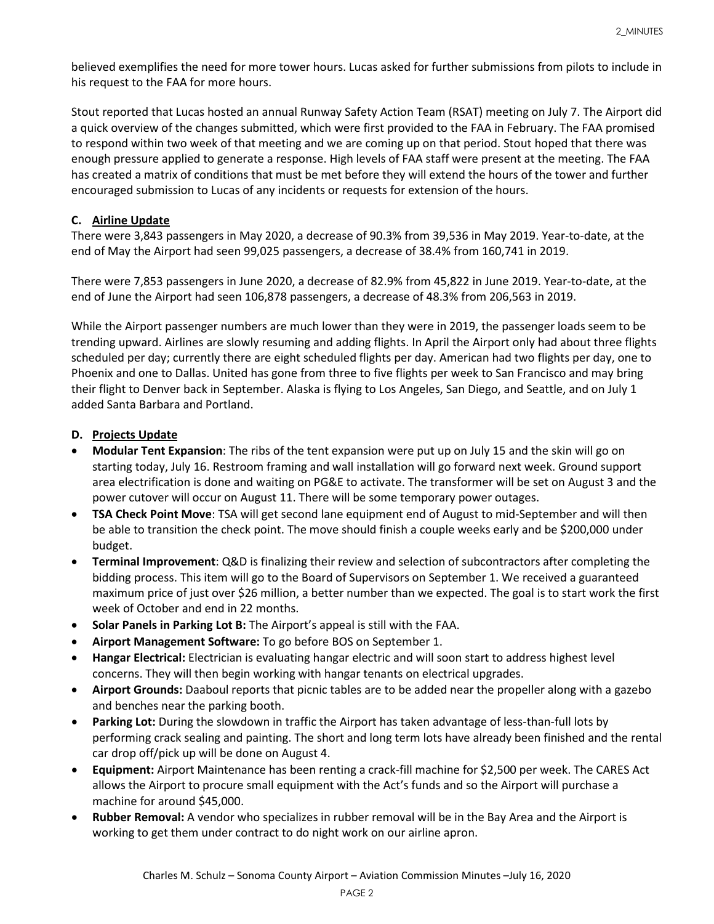believed exemplifies the need for more tower hours. Lucas asked for further submissions from pilots to include in his request to the FAA for more hours.

Stout reported that Lucas hosted an annual Runway Safety Action Team (RSAT) meeting on July 7. The Airport did a quick overview of the changes submitted, which were first provided to the FAA in February. The FAA promised to respond within two week of that meeting and we are coming up on that period. Stout hoped that there was enough pressure applied to generate a response. High levels of FAA staff were present at the meeting. The FAA has created a matrix of conditions that must be met before they will extend the hours of the tower and further encouraged submission to Lucas of any incidents or requests for extension of the hours.

# **C. Airline Update**

There were 3,843 passengers in May 2020, a decrease of 90.3% from 39,536 in May 2019. Year-to-date, at the end of May the Airport had seen 99,025 passengers, a decrease of 38.4% from 160,741 in 2019.

There were 7,853 passengers in June 2020, a decrease of 82.9% from 45,822 in June 2019. Year-to-date, at the end of June the Airport had seen 106,878 passengers, a decrease of 48.3% from 206,563 in 2019.

While the Airport passenger numbers are much lower than they were in 2019, the passenger loads seem to be trending upward. Airlines are slowly resuming and adding flights. In April the Airport only had about three flights scheduled per day; currently there are eight scheduled flights per day. American had two flights per day, one to Phoenix and one to Dallas. United has gone from three to five flights per week to San Francisco and may bring their flight to Denver back in September. Alaska is flying to Los Angeles, San Diego, and Seattle, and on July 1 added Santa Barbara and Portland.

# **D. Projects Update**

- **Modular Tent Expansion**: The ribs of the tent expansion were put up on July 15 and the skin will go on starting today, July 16. Restroom framing and wall installation will go forward next week. Ground support area electrification is done and waiting on PG&E to activate. The transformer will be set on August 3 and the power cutover will occur on August 11. There will be some temporary power outages.
- **TSA Check Point Move**: TSA will get second lane equipment end of August to mid-September and will then be able to transition the check point. The move should finish a couple weeks early and be \$200,000 under budget.
- **Terminal Improvement**: Q&D is finalizing their review and selection of subcontractors after completing the bidding process. This item will go to the Board of Supervisors on September 1. We received a guaranteed maximum price of just over \$26 million, a better number than we expected. The goal is to start work the first week of October and end in 22 months.
- **Solar Panels in Parking Lot B:** The Airport's appeal is still with the FAA.
- **Airport Management Software:** To go before BOS on September 1.
- **Hangar Electrical:** Electrician is evaluating hangar electric and will soon start to address highest level concerns. They will then begin working with hangar tenants on electrical upgrades.
- **Airport Grounds:** Daaboul reports that picnic tables are to be added near the propeller along with a gazebo and benches near the parking booth.
- **Parking Lot:** During the slowdown in traffic the Airport has taken advantage of less-than-full lots by performing crack sealing and painting. The short and long term lots have already been finished and the rental car drop off/pick up will be done on August 4.
- **Equipment:** Airport Maintenance has been renting a crack-fill machine for \$2,500 per week. The CARES Act allows the Airport to procure small equipment with the Act's funds and so the Airport will purchase a machine for around \$45,000.
- **Rubber Removal:** A vendor who specializes in rubber removal will be in the Bay Area and the Airport is working to get them under contract to do night work on our airline apron.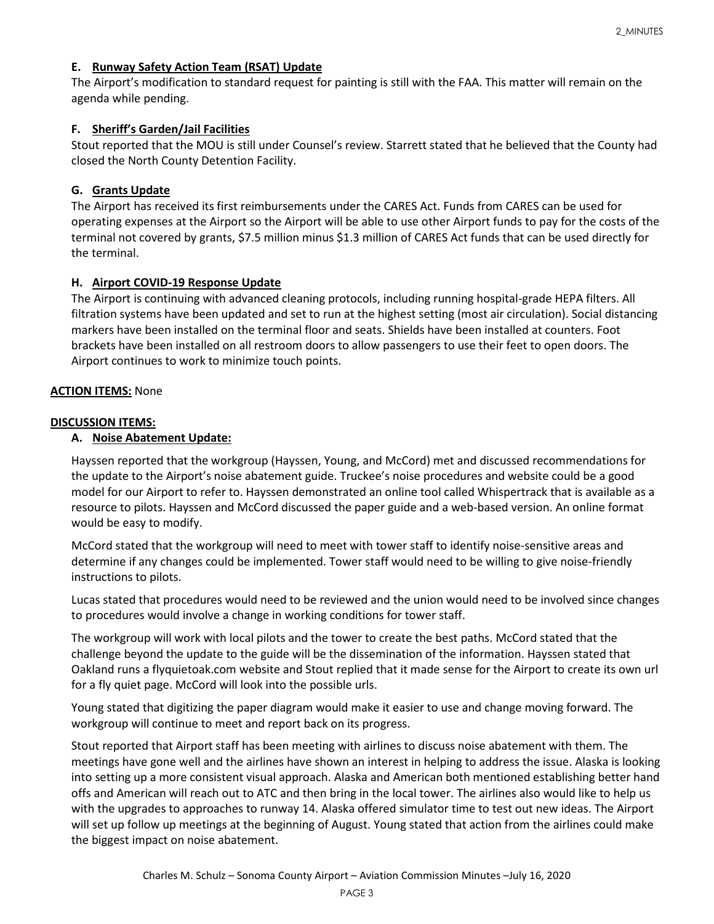# **E. Runway Safety Action Team (RSAT) Update**

The Airport's modification to standard request for painting is still with the FAA. This matter will remain on the agenda while pending.

# **F. Sheriff's Garden/Jail Facilities**

Stout reported that the MOU is still under Counsel's review. Starrett stated that he believed that the County had closed the North County Detention Facility.

# **G. Grants Update**

The Airport has received its first reimbursements under the CARES Act. Funds from CARES can be used for operating expenses at the Airport so the Airport will be able to use other Airport funds to pay for the costs of the terminal not covered by grants, \$7.5 million minus \$1.3 million of CARES Act funds that can be used directly for the terminal.

# **H. Airport COVID-19 Response Update**

The Airport is continuing with advanced cleaning protocols, including running hospital-grade HEPA filters. All filtration systems have been updated and set to run at the highest setting (most air circulation). Social distancing markers have been installed on the terminal floor and seats. Shields have been installed at counters. Foot brackets have been installed on all restroom doors to allow passengers to use their feet to open doors. The Airport continues to work to minimize touch points.

# **ACTION ITEMS:** None

# **DISCUSSION ITEMS:**

# **A. Noise Abatement Update:**

Hayssen reported that the workgroup (Hayssen, Young, and McCord) met and discussed recommendations for the update to the Airport's noise abatement guide. Truckee's noise procedures and website could be a good model for our Airport to refer to. Hayssen demonstrated an online tool called Whispertrack that is available as a resource to pilots. Hayssen and McCord discussed the paper guide and a web-based version. An online format would be easy to modify.

McCord stated that the workgroup will need to meet with tower staff to identify noise-sensitive areas and determine if any changes could be implemented. Tower staff would need to be willing to give noise-friendly instructions to pilots.

Lucas stated that procedures would need to be reviewed and the union would need to be involved since changes to procedures would involve a change in working conditions for tower staff.

The workgroup will work with local pilots and the tower to create the best paths. McCord stated that the challenge beyond the update to the guide will be the dissemination of the information. Hayssen stated that Oakland runs a flyquietoak.com website and Stout replied that it made sense for the Airport to create its own url for a fly quiet page. McCord will look into the possible urls.

Young stated that digitizing the paper diagram would make it easier to use and change moving forward. The workgroup will continue to meet and report back on its progress.

Stout reported that Airport staff has been meeting with airlines to discuss noise abatement with them. The meetings have gone well and the airlines have shown an interest in helping to address the issue. Alaska is looking into setting up a more consistent visual approach. Alaska and American both mentioned establishing better hand offs and American will reach out to ATC and then bring in the local tower. The airlines also would like to help us with the upgrades to approaches to runway 14. Alaska offered simulator time to test out new ideas. The Airport will set up follow up meetings at the beginning of August. Young stated that action from the airlines could make the biggest impact on noise abatement.